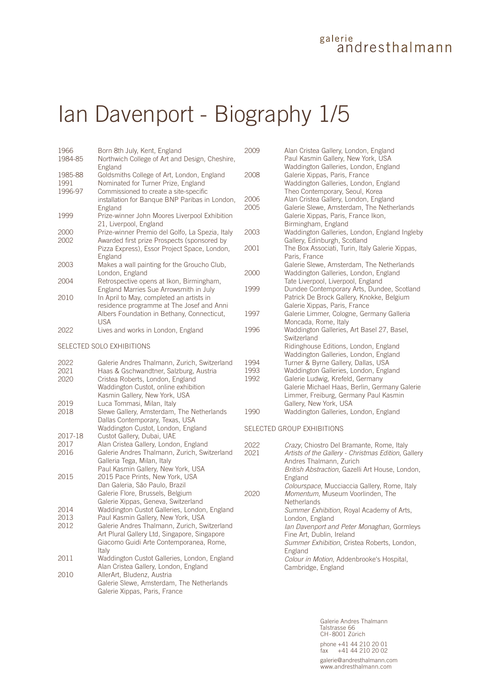## galerie<br>andresthalmann

# Ian Davenport - Biography 1/5

| 1966    | Born 8th July, Kent, England                                                                          |  |
|---------|-------------------------------------------------------------------------------------------------------|--|
| 1984-85 | Northwich College of Art and Design, Cheshire,                                                        |  |
| 1985-88 | England<br>Goldsmiths College of Art, London, England                                                 |  |
| 1991    | Nominated for Turner Prize, England                                                                   |  |
| 1996-97 | Commissioned to create a site-specific                                                                |  |
|         | installation for Banque BNP Paribas in London,<br>England                                             |  |
| 1999    | Prize-winner John Moores Liverpool Exhibition<br>21, Liverpool, England                               |  |
| 2000    | Prize-winner Premio del Golfo, La Spezia, Italy                                                       |  |
| 2002    | Awarded first prize Prospects (sponsored by                                                           |  |
|         | Pizza Express), Essor Project Space, London,<br>England                                               |  |
| 2003    | Makes a wall painting for the Groucho Club,<br>London, England                                        |  |
| 2004    | Retrospective opens at Ikon, Birmingham,                                                              |  |
|         | England Marries Sue Arrowsmith in July                                                                |  |
| 2010    | In April to May, completed an artists in                                                              |  |
|         | residence programme at The Josef and Anni<br>Albers Foundation in Bethany, Connecticut,<br><b>USA</b> |  |
| 2022    | Lives and works in London, England                                                                    |  |
|         |                                                                                                       |  |

SELECTED SOLO EXHIBITIONS

| 2022<br>2021<br>2020 | Galerie Andres Thalmann, Zurich, Switzerland<br>Haas & Gschwandtner, Salzburg, Austria<br>Cristea Roberts, London, England<br>Waddington Custot, online exhibition |
|----------------------|--------------------------------------------------------------------------------------------------------------------------------------------------------------------|
| 2019                 | Kasmin Gallery, New York, USA<br>Luca Tommasi, Milan, Italy                                                                                                        |
| 2018                 | Slewe Gallery, Amsterdam, The Netherlands<br>Dallas Contemporary, Texas, USA<br>Waddington Custot, London, England                                                 |
| 2017-18              | Custot Gallery, Dubai, UAE                                                                                                                                         |
| 2017                 | Alan Cristea Gallery, London, England                                                                                                                              |
| 2016                 | Galerie Andres Thalmann, Zurich, Switzerland<br>Galleria Tega, Milan, Italy                                                                                        |
| 2015                 | Paul Kasmin Gallery, New York, USA<br>2015 Pace Prints, New York, USA<br>Dan Galeria, São Paulo, Brazil                                                            |
|                      | Galerie Flore, Brussels, Belgium<br>Galerie Xippas, Geneva, Switzerland                                                                                            |
| 2014                 | Waddington Custot Galleries, London, England                                                                                                                       |
| 2013                 | Paul Kasmin Gallery, New York, USA                                                                                                                                 |
| 2012                 | Galerie Andres Thalmann, Zurich, Switzerland<br>Art Plural Gallery Ltd, Singapore, Singapore<br>Giacomo Guidi Arte Contemporanea, Rome,<br>Italy                   |
| 2011                 | Waddington Custot Galleries, London, England<br>Alan Cristea Gallery, London, England                                                                              |
| 2010                 | AllerArt, Bludenz, Austria<br>Galerie Slewe, Amsterdam, The Netherlands<br>Galerie Xippas, Paris, France                                                           |

| 2009                 | Alan Cristea Gallery, London, England<br>Paul Kasmin Gallery, New York, USA                                                                                                                                |
|----------------------|------------------------------------------------------------------------------------------------------------------------------------------------------------------------------------------------------------|
| 2008                 | Waddington Galleries, London, England<br>Galerie Xippas, Paris, France<br>Waddington Galleries, London, England                                                                                            |
| 2006<br>2005         | Theo Contemporary, Seoul, Korea<br>Alan Cristea Gallery, London, England<br>Galerie Slewe, Amsterdam, The Netherlands<br>Galerie Xippas, Paris, France Ikon,<br>Birmingham, England                        |
| 2003                 | Waddington Galleries, London, England Ingleby<br>Gallery, Edinburgh, Scotland                                                                                                                              |
| 2001                 | The Box Associati, Turin, Italy Galerie Xippas,<br>Paris, France                                                                                                                                           |
| 2000                 | Galerie Slewe, Amsterdam, The Netherlands<br>Waddington Galleries, London, England<br>Tate Liverpool, Liverpool, England                                                                                   |
| 1999                 | Dundee Contemporary Arts, Dundee, Scotland<br>Patrick De Brock Gallery, Knokke, Belgium<br>Galerie Xippas, Paris, France                                                                                   |
| 1997                 | Galerie Limmer, Cologne, Germany Galleria<br>Moncada, Rome, Italy                                                                                                                                          |
| 1996                 | Waddington Galleries, Art Basel 27, Basel,<br>Switzerland                                                                                                                                                  |
|                      | Ridinghouse Editions, London, England<br>Waddington Galleries, London, England                                                                                                                             |
| 1994<br>1993<br>1992 | Turner & Byrne Gallery, Dallas, USA<br>Waddington Galleries, London, England<br>Galerie Ludwig, Krefeld, Germany<br>Galerie Michael Haas, Berlin, Germany Galerie<br>Limmer, Freiburg, Germany Paul Kasmin |
| 1990                 | Gallery, New York, USA<br>Waddington Galleries, London, England                                                                                                                                            |

#### SELECTED GROUP EXHIBITIONS

| 2022 | Crazy, Chiostro Del Bramante, Rome, Italy           |
|------|-----------------------------------------------------|
| 2021 | Artists of the Gallery - Christmas Edition, Gallery |
|      | Andres Thalmann, Zurich                             |
|      | British Abstraction, Gazelli Art House, London,     |
|      | England                                             |
|      | Colourspace, Mucciaccia Gallery, Rome, Italy        |
| 2020 | Momentum, Museum Voorlinden, The                    |
|      | <b>Netherlands</b>                                  |
|      | Summer Exhibition, Royal Academy of Arts,           |
|      | London, England                                     |
|      | lan Davenport and Peter Monaghan, Gormleys          |
|      | Fine Art, Dublin, Ireland                           |
|      | Summer Exhibition, Cristea Roberts, London,         |
|      | England                                             |
|      | Colour in Motion, Addenbrooke's Hospital,           |
|      | Cambridge, England                                  |
|      |                                                     |

Galerie Andres Thalmann Talstrasse 66 CH-8001 Zürich phone +41 44 210 20 01 fax +41 44 210 20 02 galerie@andresthalmann.com www.andresthalmann.com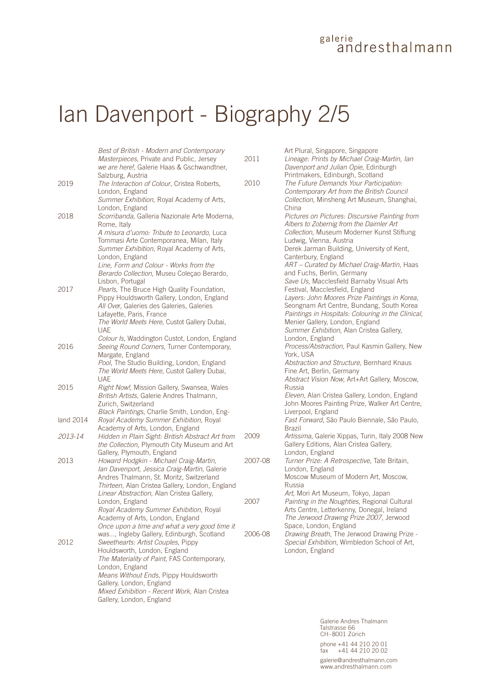#### galerie andresthalmann

## Ian Davenport - Biography 2/5

*Best of British - Modern and Contemporary Masterpieces*, Private and Public, Jersey *we are here!*, Galerie Haas & Gschwandtner, Salzburg, Austria 2019 *The Interaction of Colour*, Cristea Roberts, London, England *Summer Exhibition*, Royal Academy of Arts, London, England 2018 *Scorribanda*, Galleria Nazionale Arte Moderna, Rome, Italy *A misura d'uomo: Tribute to Leonardo*, Luca Tommasi Arte Contemporanea, Milan, Italy *Summer Exhibition*, Royal Academy of Arts, London, England *Line, Form and Colour - Works from the Berardo Collection*, Museu Coleçao Berardo, Lisbon, Portugal 2017 *Pearls*, The Bruce High Quality Foundation, Pippy Houldsworth Gallery, London, England *All Ove*r, Galeries des Galeries, Galeries Lafayette, Paris, France *The World Meets Here*, Custot Gallery Dubai, UAE *Colour Is*, Waddington Custot, London, England 2016 *Seeing Round Corners*, Turner Contemporary, Margate, England *Pool*, The Studio Building, London, England *The World Meets Here*, Custot Gallery Dubai, UAE 2015 *Right Now!*, Mission Gallery, Swansea, Wales *British Artists*, Galerie Andres Thalmann, Zurich, Switzerland *Black Paintings*, Charlie Smith, London, England 2014 *Royal Academy Summer Exhibition*, Royal Academy of Arts, London, England *2013-14 Hidden in Plain Sight: British Abstract Art from the Collection*, Plymouth City Museum and Art Gallery, Plymouth, England 2013 *Howard Hodgkin - Michael Craig-Martin, Ian Davenport, Jessica Craig-Martin*, Galerie Andres Thalmann, St. Moritz, Switzerland *Thirteen*, Alan Cristea Gallery, London, England *Linear Abstraction*, Alan Cristea Gallery, London, England *Royal Academy Summer Exhibition*, Royal Academy of Arts, London, England *Once upon a time and what a very good time it was...*, Ingleby Gallery, Edinburgh, Scotland 2012 *Sweethearts: Artist Couples*, Pippy Houldsworth, London, England *The Materiality of Paint*, FAS Contemporary, London, England *Means Without Ends*, Pippy Houldsworth Gallery, London, England *Mixed Exhibition - Recent Work*, Alan Cristea Gallery, London, England

Art Plural, Singapore, Singapore 2011 *Lineage: Prints by Michael Craig-Martin, Ian Davenport and Julian Opie*, Edinburgh Printmakers, Edinburgh, Scotland 2010 *The Future Demands Your Participation: Contemporary Art from the British Council Collection*, Minsheng Art Museum, Shanghai, China *Pictures on Pictures: Discursive Painting from Albers to Zobernig from the Daimler Art Collection*, Museum Moderner Kunst Stiftung Ludwig, Vienna, Austria Derek Jarman Building, University of Kent, Canterbury, England *ART – Curated by Michael Craig-Martin*, Haas and Fuchs, Berlin, Germany *Save Us*, Macclesfield Barnaby Visual Arts Festival, Macclesfield, England *Layers: John Moores Prize Paintings in Korea*, Seongnam Art Centre, Bundang, South Korea *Paintings in Hospitals: Colouring in the Clinical*, Menier Gallery, London, England *Summer Exhibition*, Alan Cristea Gallery, London, England *Process/Abstraction*, Paul Kasmin Gallery, New York, USA *Abstraction and Structure*, Bernhard Knaus Fine Art, Berlin, Germany *Abstract Vision Now*, Art+Art Gallery, Moscow, Russia *Eleven*, Alan Cristea Gallery, London, England John Moores Painting Prize, Walker Art Centre, Liverpool, England *Fast Forward*, São Paulo Biennale, São Paulo, Brazil 2009 *Artissima*, Galerie Xippas, Turin, Italy 2008 New Gallery Editions, Alan Cristea Gallery, London, England 2007-08 *Turner Prize: A Retrospective*, Tate Britain, London, England Moscow Museum of Modern Art, Moscow, Russia *Art*, Mori Art Museum, Tokyo, Japan 2007 *Painting in the Noughties*, Regional Cultural Arts Centre, Letterkenny, Donegal, Ireland *The Jerwood Drawing Prize 2007*, Jerwood Space, London, England 2006-08 *Drawing Breath*, The Jerwood Drawing Prize -

*Special Exhibition*, Wimbledon School of Art, London, England

> Galerie Andres Thalmann Talstrasse 66 CH-8001 Zürich phone +41 44 210 20 01<br>fax +41 44 210 20 02  $+41$  44 210 20 02 galerie@andresthalmann.com www.andresthalmann.com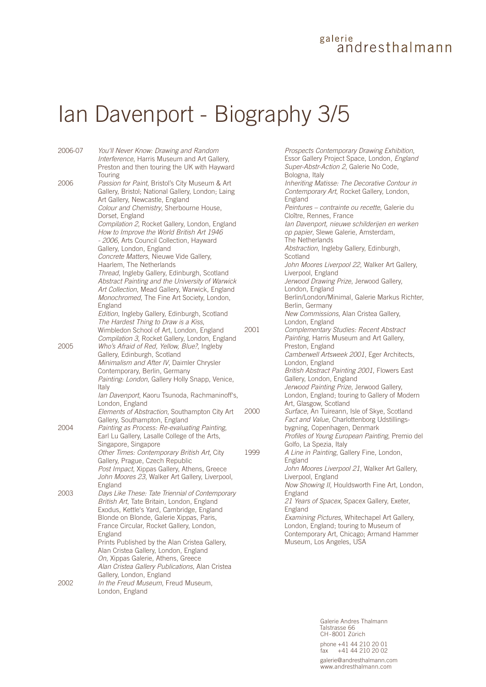#### galerie ändresthalmann

## Ian Davenport - Biography 3/5

| 2006-07 | You'll Never Know: Drawing and Random<br>Interference, Harris Museum and Art Gallery,  |     |
|---------|----------------------------------------------------------------------------------------|-----|
|         | Preston and then touring the UK with Hayward                                           |     |
| 2006    | Touring<br>Passion for Paint, Bristol's City Museum & Art                              |     |
|         | Gallery, Bristol; National Gallery, London; Laing                                      |     |
|         | Art Gallery, Newcastle, England                                                        |     |
|         | Colour and Chemistry, Sherbourne House,                                                |     |
|         | Dorset, England                                                                        |     |
|         | Compilation 2, Rocket Gallery, London, England                                         |     |
|         | How to Improve the World British Art 1946                                              |     |
|         | - 2006, Arts Council Collection, Hayward                                               |     |
|         | Gallery, London, England                                                               |     |
|         | Concrete Matters, Nieuwe Vide Gallery,                                                 |     |
|         | Haarlem, The Netherlands                                                               |     |
|         | Thread, Ingleby Gallery, Edinburgh, Scotland                                           |     |
|         | Abstract Painting and the University of Warwick                                        |     |
|         | Art Collection, Mead Gallery, Warwick, England                                         |     |
|         | Monochromed, The Fine Art Society, London,                                             |     |
|         | England<br>Edition, Ingleby Gallery, Edinburgh, Scotland                               |     |
|         | The Hardest Thing to Draw is a Kiss,                                                   |     |
|         | Wimbledon School of Art, London, England                                               | 200 |
|         | Compilation 3, Rocket Gallery, London, England                                         |     |
| 2005    | Who's Afraid of Red, Yellow, Blue?, Ingleby                                            |     |
|         | Gallery, Edinburgh, Scotland                                                           |     |
|         | Minimalism and After IV, Daimler Chrysler                                              |     |
|         | Contemporary, Berlin, Germany                                                          |     |
|         | Painting: London, Gallery Holly Snapp, Venice,                                         |     |
|         | Italy                                                                                  |     |
|         | lan Davenport, Kaoru Tsunoda, Rachmaninoff's,                                          |     |
|         | London, England                                                                        |     |
|         | Elements of Abstraction, Southampton City Art                                          | 200 |
| 2004    | Gallery, Southampton, England<br>Painting as Process: Re-evaluating Painting,          |     |
|         | Earl Lu Gallery, Lasalle College of the Arts,                                          |     |
|         | Singapore, Singapore                                                                   |     |
|         | Other Times: Contemporary British Art, City                                            | 199 |
|         | Gallery, Prague, Czech Republic                                                        |     |
|         | Post Impact, Xippas Gallery, Athens, Greece                                            |     |
|         | John Moores 23, Walker Art Gallery, Liverpool,                                         |     |
|         | England                                                                                |     |
| 2003    | Days Like These: Tate Triennial of Contemporary                                        |     |
|         | British Art, Tate Britain, London, England                                             |     |
|         | Exodus, Kettle's Yard, Cambridge, England                                              |     |
|         | Blonde on Blonde, Galerie Xippas, Paris,                                               |     |
|         | France Circular, Rocket Gallery, London,                                               |     |
|         | England                                                                                |     |
|         | Prints Published by the Alan Cristea Gallery,<br>Alan Cristea Gallery, London, England |     |
|         | On, Xippas Galerie, Athens, Greece                                                     |     |
|         | Alan Cristea Gallery Publications, Alan Cristea                                        |     |
|         | Gallery, London, England                                                               |     |
| 2002    | In the Freud Museum, Freud Museum,                                                     |     |
|         | London, England                                                                        |     |
|         |                                                                                        |     |

*Prospects Contemporary Drawing Exhibition*, Essor Gallery Project Space, London, *England Super-Abstr-Action 2*, Galerie No Code, Bologna, Italy *Inheriting Matisse: The Decorative Contour in Contemporary Art*, Rocket Gallery, London, England *Peintures – contrainte ou recette*, Galerie du Cloître, Rennes, France *Ian Davenport, nieuwe schilderijen en werken op papier*, Slewe Galerie, Amsterdam, The Netherlands *Abstraction*, Ingleby Gallery, Edinburgh, Scotland *John Moores Liverpool 22*, Walker Art Gallery, Liverpool, England *Jerwood Drawing Prize*, Jerwood Gallery, London, England Berlin/London/Minimal, Galerie Markus Richter, Berlin, Germany *New Commissions*, Alan Cristea Gallery, London, England 2001 *Complementary Studies: Recent Abstract Painting*, Harris Museum and Art Gallery, Preston, England *Camberwell Artsweek 2001*, Eger Architects, London, England *British Abstract Painting 2001*, Flowers East Gallery, London, England *Jerwood Painting Prize*, Jerwood Gallery, London, England; touring to Gallery of Modern Art, Glasgow, Scotland 2000 *Surface*, An Tuireann, Isle of Skye, Scotland *Fact and Value*, Charlottenborg Udstillingsbygning, Copenhagen, Denmark *Profiles of Young European Painting*, Premio del Golfo, La Spezia, Italy 99 A Line in Painting, Gallery Fine, London, England *John Moores Liverpool 21*, Walker Art Gallery, Liverpool, England *Now Showing II*, Houldsworth Fine Art, London, England *21 Years of Spacex*, Spacex Gallery, Exeter, England *Examining Pictures*, Whitechapel Art Gallery, London, England; touring to Museum of Contemporary Art, Chicago; Armand Hammer Museum, Los Angeles, USA

> Galerie Andres Thalmann Talstrasse 66 CH-8001 Zürich phone +41 44 210 20 01 fax +41 44 210 20 02 galerie@andresthalmann.com www.andresthalmann.com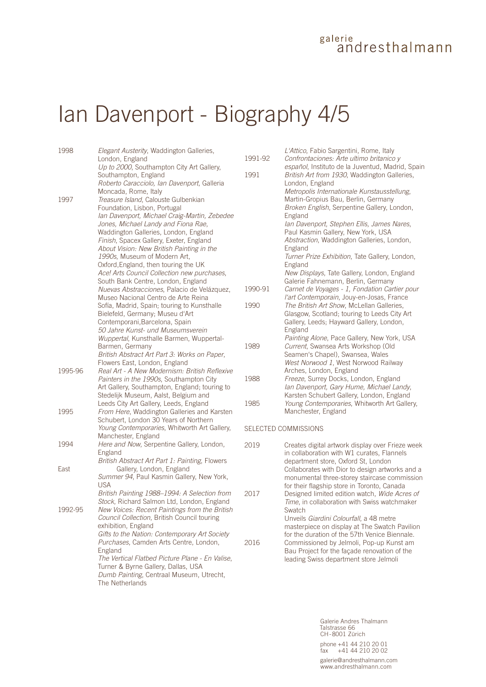## galerie<br>andresthalmann

# Ian Davenport - Biography 4/5

| 1998    | Elegant Austerity, Waddington Galleries,<br>London, England                                                                                           | 1991-92 | L'Attico, Fabio Sargentini, Rome, Italy<br>Confrontaciones: Arte ultimo britanico y                                                              |
|---------|-------------------------------------------------------------------------------------------------------------------------------------------------------|---------|--------------------------------------------------------------------------------------------------------------------------------------------------|
|         | Up to 2000, Southampton City Art Gallery,<br>Southampton, England<br>Roberto Caracciolo, Ian Davenport, Galleria                                      | 1991    | español, Instituto de la Juventud, Madrid, Spain<br>British Art from 1930, Waddington Galleries,<br>London, England                              |
| 1997    | Moncada, Rome, Italy<br>Treasure Island, Calouste Gulbenkian<br>Foundation, Lisbon, Portugal<br>Ian Davenport, Michael Craig-Martin, Zebedee          |         | Metropolis Internationale Kunstausstellung,<br>Martin-Gropius Bau, Berlin, Germany<br>Broken English, Serpentine Gallery, London,<br>England     |
|         | Jones, Michael Landy and Fiona Rae,<br>Waddington Galleries, London, England                                                                          |         | Ian Davenport, Stephen Ellis, James Nares,<br>Paul Kasmin Gallery, New York, USA                                                                 |
|         | Finish, Spacex Gallery, Exeter, England<br>About Vision: New British Painting in the<br>1990s, Museum of Modern Art,                                  |         | Abstraction, Waddington Galleries, London,<br>England<br>Turner Prize Exhibition, Tate Gallery, London,                                          |
|         | Oxford, England, then touring the UK<br>Ace! Arts Council Collection new purchases,<br>South Bank Centre, London, England                             |         | England<br>New Displays, Tate Gallery, London, England<br>Galerie Fahnemann, Berlin, Germany                                                     |
|         | Nuevas Abstracciones, Palacio de Velázquez,<br>Museo Nacional Centro de Arte Reina                                                                    | 1990-91 | Carnet de Voyages - 1, Fondation Cartier pour<br>l'art Contemporain, Jouy-en-Josas, France                                                       |
|         | Sofía, Madrid, Spain; touring to Kunsthalle<br>Bielefeld, Germany; Museu d'Art<br>Contemporani, Barcelona, Spain<br>50 Jahre Kunst- und Museumsverein | 1990    | The British Art Show, McLellan Galleries,<br>Glasgow, Scotland; touring to Leeds City Art<br>Gallery, Leeds; Hayward Gallery, London,<br>England |
|         | Wuppertal, Kunsthalle Barmen, Wuppertal-<br>Barmen, Germany<br>British Abstract Art Part 3: Works on Paper,                                           | 1989    | Painting Alone, Pace Gallery, New York, USA<br>Current, Swansea Arts Workshop (Old<br>Seamen's Chapel), Swansea, Wales                           |
| 1995-96 | Flowers East, London, England<br>Real Art - A New Modernism: British Reflexive                                                                        |         | West Norwood 1, West Norwood Railway<br>Arches, London, England                                                                                  |
|         | Painters in the 1990s, Southampton City<br>Art Gallery, Southampton, England; touring to<br>Stedelijk Museum, Aalst, Belgium and                      | 1988    | Freeze, Surrey Docks, London, England<br>lan Davenport, Gary Hume, Michael Landy,<br>Karsten Schubert Gallery, London, England                   |
| 1995    | Leeds City Art Gallery, Leeds, England<br>From Here, Waddington Galleries and Karsten<br>Schubert, London 30 Years of Northern                        | 1985    | Young Contemporaries, Whitworth Art Gallery,<br>Manchester, England                                                                              |
|         | Young Contemporaries, Whitworth Art Gallery,<br>Manchester, England                                                                                   |         | SELECTED COMMISSIONS                                                                                                                             |
| 1994    | Here and Now, Serpentine Gallery, London,<br>England<br>British Abstract Art Part 1: Painting, Flowers                                                | 2019    | Creates digital artwork display over Frieze week<br>in collaboration with W1 curates, Flannels<br>department store, Oxford St, London            |
| East    | Gallery, London, England<br>Summer 94, Paul Kasmin Gallery, New York,<br><b>USA</b>                                                                   |         | Collaborates with Dior to design artworks and a<br>monumental three-storey staircase commission<br>for their flagship store in Toronto, Canada   |
|         | British Painting 1988-1994: A Selection from<br>Stock, Richard Salmon Ltd, London, England                                                            | 2017    | Designed limited edition watch, Wide Acres of<br>Time, in collaboration with Swiss watchmaker                                                    |
| 1992-95 | New Voices: Recent Paintings from the British<br>Council Collection, British Council touring<br>exhibition, England                                   |         | Swatch<br>Unveils Giardini Colourfall, a 48 metre<br>masterpiece on display at The Swatch Pavilion                                               |
|         | Gifts to the Nation: Contemporary Art Society<br>Purchases, Camden Arts Centre, London,<br>England                                                    | 2016    | for the duration of the 57th Venice Biennale.<br>Commissioned by Jelmoli, Pop-up Kunst am<br>Bau Project for the façade renovation of the        |
|         | The Vertical Flatbed Picture Plane - En Valise,<br>Turner & Byrne Gallery, Dallas, USA<br>Dumb Painting, Centraal Museum, Utrecht,<br>The Netherlands |         | leading Swiss department store Jelmoli                                                                                                           |

Galerie Andres Thalmann Talstrasse 66 CH-8001 Zürich phone +41 44 210 20 01 fax +41 44 210 20 02 galerie@andresthalmann.com www.andresthalmann.com